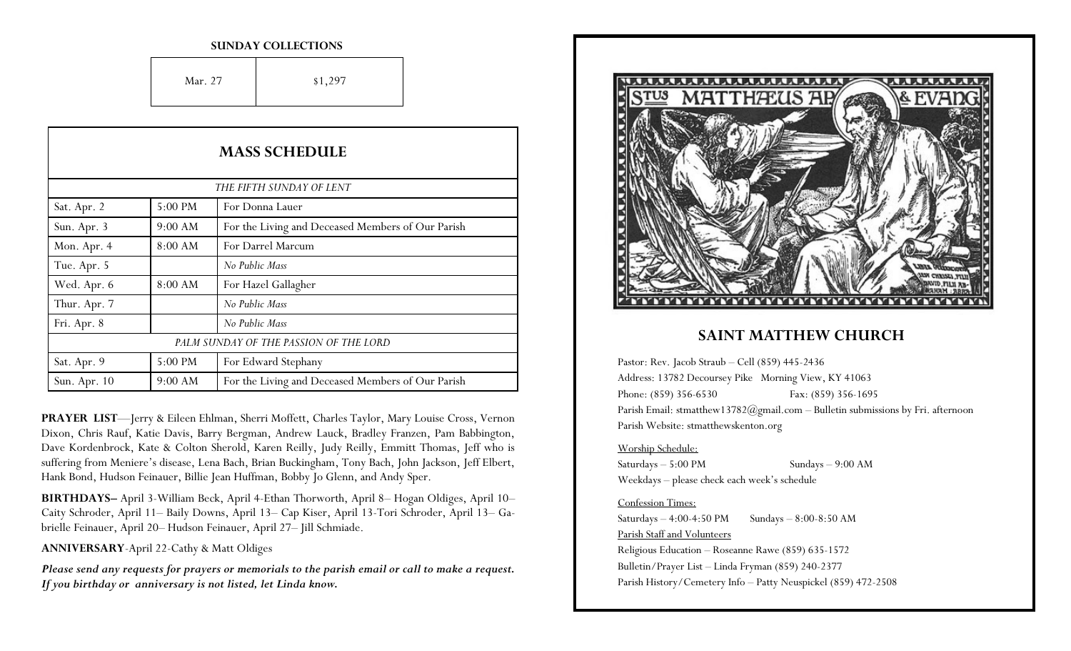#### **SUNDAY COLLECTIONS**

Mar. 27  $\qquad \qquad$  \$1,297

| <b>MASS SCHEDULE</b><br>THE FIFTH SUNDAY OF LENT |           |                                                   |
|--------------------------------------------------|-----------|---------------------------------------------------|
|                                                  |           |                                                   |
| Sun. Apr. 3                                      | 9:00 AM   | For the Living and Deceased Members of Our Parish |
| Mon. Apr. 4                                      | 8:00 AM   | For Darrel Marcum                                 |
| Tue. Apr. 5                                      |           | No Public Mass                                    |
| Wed. Apr. 6                                      | 8:00 AM   | For Hazel Gallagher                               |
| Thur. Apr. 7                                     |           | No Public Mass                                    |
| Fri. Apr. 8                                      |           | No Public Mass                                    |
|                                                  |           | PALM SUNDAY OF THE PASSION OF THE LORD            |
| Sat. Apr. 9                                      | 5:00 PM   | For Edward Stephany                               |
| Sun. Apr. 10                                     | $9:00$ AM | For the Living and Deceased Members of Our Parish |

**PRAYER LIST**—Jerry & Eileen Ehlman, Sherri Moffett, Charles Taylor, Mary Louise Cross, Vernon Dixon, Chris Rauf, Katie Davis, Barry Bergman, Andrew Lauck, Bradley Franzen, Pam Babbington, Dave Kordenbrock, Kate & Colton Sherold, Karen Reilly, Judy Reilly, Emmitt Thomas, Jeff who is suffering from Meniere's disease, Lena Bach, Brian Buckingham, Tony Bach, John Jackson, Jeff Elbert, Hank Bond, Hudson Feinauer, Billie Jean Huffman, Bobby Jo Glenn, and Andy Sper.

**BIRTHDAYS–** April 3-William Beck, April 4-Ethan Thorworth, April 8– Hogan Oldiges, April 10– Caity Schroder, April 11– Baily Downs, April 13– Cap Kiser, April 13-Tori Schroder, April 13– Gabrielle Feinauer, April 20– Hudson Feinauer, April 27– Jill Schmiade.

**ANNIVERSARY**-April 22-Cathy & Matt Oldiges

*Please send any requests for prayers or memorials to the parish email or call to make a request. If you birthday or anniversary is not listed, let Linda know.*



## **SAINT MATTHEW CHURCH**

Pastor: Rev. Jacob Straub – Cell (859) 445-2436 Address: 13782 Decoursey Pike Morning View, KY 41063 Phone: (859) 356-6530 Fax: (859) 356-1695 Parish Email: stmatthew13782@gmail.com – Bulletin submissions by Fri. afternoon Parish Website: stmatthewskenton.org

### Worship Schedule:

Saturdays – 5:00 PM Sundays – 9:00 AM Weekdays – please check each week's schedule

### Confession Times:

Saturdays  $-4:00-4:50 \text{ PM}$  Sundays  $-8:00-8:50 \text{ AM}$ Parish Staff and Volunteers Religious Education – Roseanne Rawe (859) 635-1572 Bulletin/Prayer List – Linda Fryman (859) 240-2377 Parish History/Cemetery Info – Patty Neuspickel (859) 472-2508